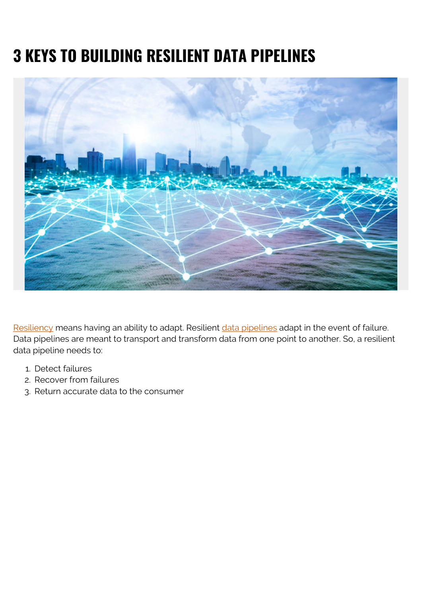# **3 KEYS TO BUILDING RESILIENT DATA PIPELINES**



[Resiliency](https://blogs.bmc.com/blogs/resiliency-vs-redundancy/) means having an ability to adapt. Resilient [data pipelines](https://blogs.bmc.com/blogs/data-pipeline/) adapt in the event of failure. Data pipelines are meant to transport and transform data from one point to another. So, a resilient data pipeline needs to:

- 1. Detect failures
- 2. Recover from failures
- 3. Return accurate data to the consumer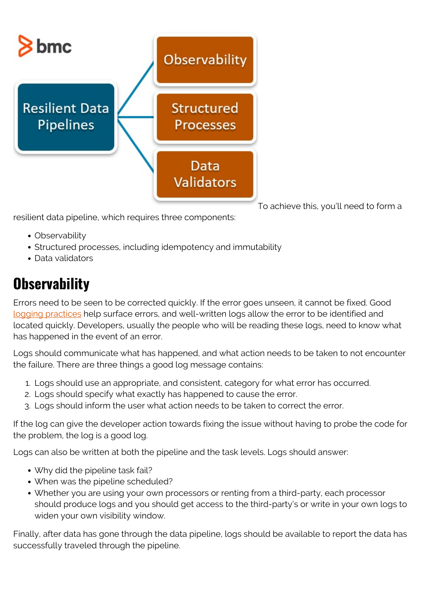

To achieve this, you'll need to form a

resilient data pipeline, which requires three components:

- Observability
- Structured processes, including idempotency and immutability
- Data validators

### **Observability**

Errors need to be seen to be corrected quickly. If the error goes unseen, it cannot be fixed. Good [logging practices](https://blogs.bmc.com/blogs/monitoring-logging-tracing/) help surface errors, and well-written logs allow the error to be identified and located quickly. Developers, usually the people who will be reading these logs, need to know what has happened in the event of an error.

Logs should communicate what has happened, and what action needs to be taken to not encounter the failure. There are three things a good log message contains:

- 1. Logs should use an appropriate, and consistent, category for what error has occurred.
- 2. Logs should specify what exactly has happened to cause the error.
- 3. Logs should inform the user what action needs to be taken to correct the error.

If the log can give the developer action towards fixing the issue without having to probe the code for the problem, the log is a good log.

Logs can also be written at both the pipeline and the task levels. Logs should answer:

- Why did the pipeline task fail?
- When was the pipeline scheduled?
- Whether you are using your own processors or renting from a third-party, each processor should produce logs and you should get access to the third-party's or write in your own logs to widen your own visibility window.

Finally, after data has gone through the data pipeline, logs should be available to report the data has successfully traveled through the pipeline.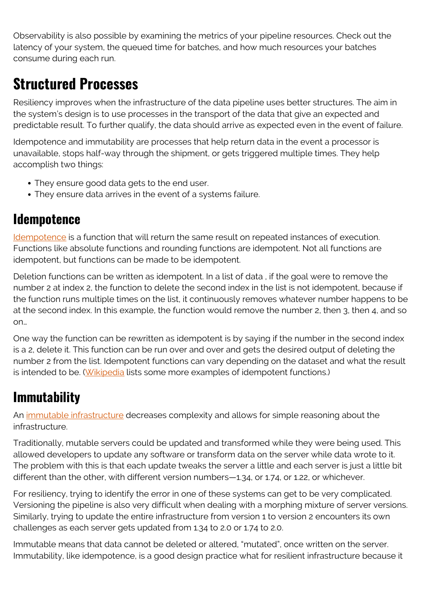Observability is also possible by examining the metrics of your pipeline resources. Check out the latency of your system, the queued time for batches, and how much resources your batches consume during each run.

### **Structured Processes**

Resiliency improves when the infrastructure of the data pipeline uses better structures. The aim in the system's design is to use processes in the transport of the data that give an expected and predictable result. To further qualify, the data should arrive as expected even in the event of failure.

Idempotence and immutability are processes that help return data in the event a processor is unavailable, stops half-way through the shipment, or gets triggered multiple times. They help accomplish two things:

- They ensure good data gets to the end user.
- They ensure data arrives in the event of a systems failure.

#### **Idempotence**

[Idempotence](https://blogs.bmc.com/blogs/idempotence/) is a function that will return the same result on repeated instances of execution. Functions like absolute functions and rounding functions are idempotent. Not all functions are idempotent, but functions can be made to be idempotent.

Deletion functions can be written as idempotent. In a list of data , if the goal were to remove the number 2 at index 2, the function to delete the second index in the list is not idempotent, because if the function runs multiple times on the list, it continuously removes whatever number happens to be at the second index. In this example, the function would remove the number 2, then 3, then 4, and so on…

One way the function can be rewritten as idempotent is by saying if the number in the second index is a 2, delete it. This function can be run over and over and gets the desired output of deleting the number 2 from the list. Idempotent functions can vary depending on the dataset and what the result is intended to be. [\(Wikipedia](https://en.wikipedia.org/wiki/Idempotence) lists some more examples of idempotent functions.)

### **Immutability**

An [immutable infrastructure](https://blogs.bmc.com/blogs/immutable-infrastructure/) decreases complexity and allows for simple reasoning about the infrastructure.

Traditionally, mutable servers could be updated and transformed while they were being used. This allowed developers to update any software or transform data on the server while data wrote to it. The problem with this is that each update tweaks the server a little and each server is just a little bit different than the other, with different version numbers—1.34, or 1.74, or 1.22, or whichever.

For resiliency, trying to identify the error in one of these systems can get to be very complicated. Versioning the pipeline is also very difficult when dealing with a morphing mixture of server versions. Similarly, trying to update the entire infrastructure from version 1 to version 2 encounters its own challenges as each server gets updated from 1.34 to 2.0 or 1.74 to 2.0.

Immutable means that data cannot be deleted or altered, "mutated", once written on the server. Immutability, like idempotence, is a good design practice what for resilient infrastructure because it